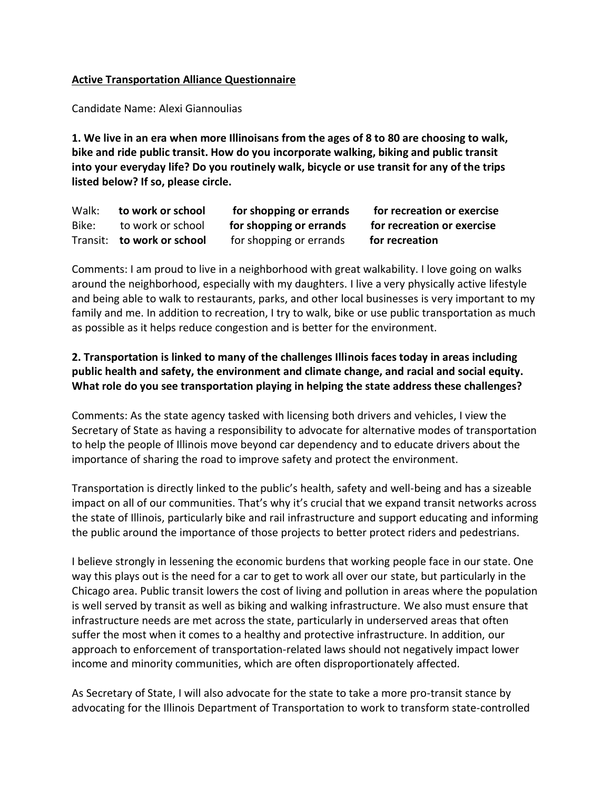## **Active Transportation Alliance Questionnaire**

Candidate Name: Alexi Giannoulias

**1. We live in an era when more Illinoisans from the ages of 8 to 80 are choosing to walk, bike and ride public transit. How do you incorporate walking, biking and public transit into your everyday life? Do you routinely walk, bicycle or use transit for any of the trips listed below? If so, please circle.**

Walk: **to work or school** for shopping or errands for recreation or exercise Bike: to work or school **for shopping or errands for recreation or exercise** Transit: **to work or school** for shopping or errands **for recreation**

Comments: I am proud to live in a neighborhood with great walkability. I love going on walks around the neighborhood, especially with my daughters. I live a very physically active lifestyle and being able to walk to restaurants, parks, and other local businesses is very important to my family and me. In addition to recreation, I try to walk, bike or use public transportation as much as possible as it helps reduce congestion and is better for the environment.

## **2. Transportation is linked to many of the challenges Illinois faces today in areas including public health and safety, the environment and climate change, and racial and social equity. What role do you see transportation playing in helping the state address these challenges?**

Comments: As the state agency tasked with licensing both drivers and vehicles, I view the Secretary of State as having a responsibility to advocate for alternative modes of transportation to help the people of Illinois move beyond car dependency and to educate drivers about the importance of sharing the road to improve safety and protect the environment.

Transportation is directly linked to the public's health, safety and well-being and has a sizeable impact on all of our communities. That's why it's crucial that we expand transit networks across the state of Illinois, particularly bike and rail infrastructure and support educating and informing the public around the importance of those projects to better protect riders and pedestrians.

I believe strongly in lessening the economic burdens that working people face in our state. One way this plays out is the need for a car to get to work all over our state, but particularly in the Chicago area. Public transit lowers the cost of living and pollution in areas where the population is well served by transit as well as biking and walking infrastructure. We also must ensure that infrastructure needs are met across the state, particularly in underserved areas that often suffer the most when it comes to a healthy and protective infrastructure. In addition, our approach to enforcement of transportation-related laws should not negatively impact lower income and minority communities, which are often disproportionately affected.

As Secretary of State, I will also advocate for the state to take a more pro-transit stance by advocating for the Illinois Department of Transportation to work to transform state-controlled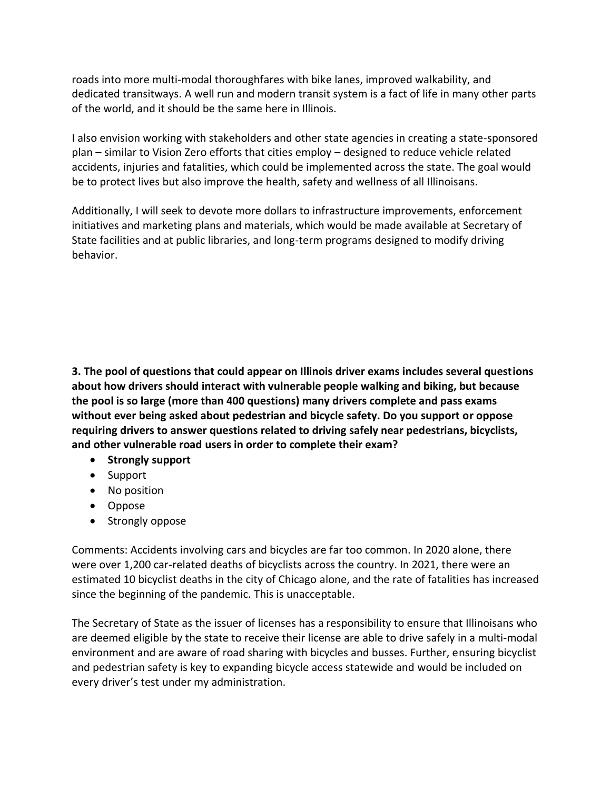roads into more multi-modal thoroughfares with bike lanes, improved walkability, and dedicated transitways. A well run and modern transit system is a fact of life in many other parts of the world, and it should be the same here in Illinois.

I also envision working with stakeholders and other state agencies in creating a state-sponsored plan – similar to Vision Zero efforts that cities employ – designed to reduce vehicle related accidents, injuries and fatalities, which could be implemented across the state. The goal would be to protect lives but also improve the health, safety and wellness of all Illinoisans.

Additionally, I will seek to devote more dollars to infrastructure improvements, enforcement initiatives and marketing plans and materials, which would be made available at Secretary of State facilities and at public libraries, and long-term programs designed to modify driving behavior.

**3. The pool of questions that could appear on Illinois driver exams includes several questions about how drivers should interact with vulnerable people walking and biking, but because the pool is so large (more than 400 questions) many drivers complete and pass exams without ever being asked about pedestrian and bicycle safety. Do you support or oppose requiring drivers to answer questions related to driving safely near pedestrians, bicyclists, and other vulnerable road users in order to complete their exam?**

- **Strongly support**
- Support
- No position
- Oppose
- Strongly oppose

Comments: Accidents involving cars and bicycles are far too common. In 2020 alone, there were over 1,200 car-related deaths of bicyclists across the country. In 2021, there were an estimated 10 bicyclist deaths in the city of Chicago alone, and the rate of fatalities has increased since the beginning of the pandemic. This is unacceptable.

The Secretary of State as the issuer of licenses has a responsibility to ensure that Illinoisans who are deemed eligible by the state to receive their license are able to drive safely in a multi-modal environment and are aware of road sharing with bicycles and busses. Further, ensuring bicyclist and pedestrian safety is key to expanding bicycle access statewide and would be included on every driver's test under my administration.